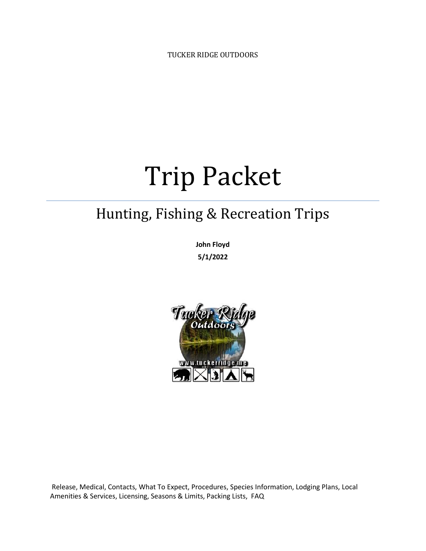TUCKER RIDGE OUTDOORS

# Trip Packet

## Hunting, Fishing & Recreation Trips

**John Floyd 5/1/2022**



Release, Medical, Contacts, What To Expect, Procedures, Species Information, Lodging Plans, Local Amenities & Services, Licensing, Seasons & Limits, Packing Lists, FAQ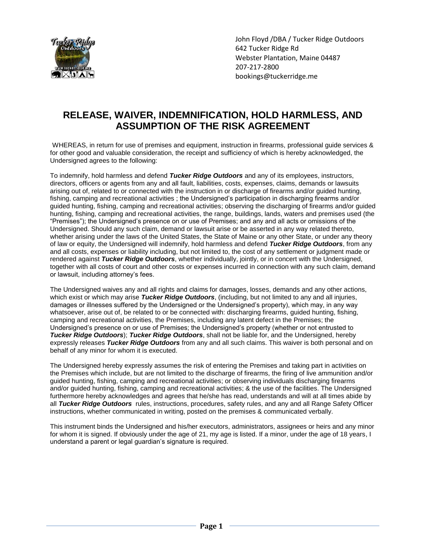

## **RELEASE, WAIVER, INDEMNIFICATION, HOLD HARMLESS, AND ASSUMPTION OF THE RISK AGREEMENT**

WHEREAS, in return for use of premises and equipment, instruction in firearms, professional guide services & for other good and valuable consideration, the receipt and sufficiency of which is hereby acknowledged, the Undersigned agrees to the following:

To indemnify, hold harmless and defend *Tucker Ridge Outdoors* and any of its employees, instructors, directors, officers or agents from any and all fault, liabilities, costs, expenses, claims, demands or lawsuits arising out of, related to or connected with the instruction in or discharge of firearms and/or guided hunting, fishing, camping and recreational activities ; the Undersigned's participation in discharging firearms and/or guided hunting, fishing, camping and recreational activities; observing the discharging of firearms and/or guided hunting, fishing, camping and recreational activities, the range, buildings, lands, waters and premises used (the "Premises"); the Undersigned's presence on or use of Premises; and any and all acts or omissions of the Undersigned. Should any such claim, demand or lawsuit arise or be asserted in any way related thereto, whether arising under the laws of the United States, the State of Maine or any other State, or under any theory of law or equity, the Undersigned will indemnify, hold harmless and defend *Tucker Ridge Outdoors*, from any and all costs, expenses or liability including, but not limited to, the cost of any settlement or judgment made or rendered against *Tucker Ridge Outdoors*, whether individually, jointly, or in concert with the Undersigned, together with all costs of court and other costs or expenses incurred in connection with any such claim, demand or lawsuit, including attorney's fees.

The Undersigned waives any and all rights and claims for damages, losses, demands and any other actions, which exist or which may arise *Tucker Ridge Outdoors*, (including, but not limited to any and all injuries, damages or illnesses suffered by the Undersigned or the Undersigned's property), which may, in any way whatsoever, arise out of, be related to or be connected with: discharging firearms, guided hunting, fishing, camping and recreational activities, the Premises, including any latent defect in the Premises; the Undersigned's presence on or use of Premises; the Undersigned's property (whether or not entrusted to *Tucker Ridge Outdoors*); *Tucker Ridge Outdoors*, shall not be liable for, and the Undersigned, hereby expressly releases *Tucker Ridge Outdoors* from any and all such claims. This waiver is both personal and on behalf of any minor for whom it is executed.

The Undersigned hereby expressly assumes the risk of entering the Premises and taking part in activities on the Premises which include, but are not limited to the discharge of firearms, the firing of live ammunition and/or guided hunting, fishing, camping and recreational activities; or observing individuals discharging firearms and/or guided hunting, fishing, camping and recreational activities; & the use of the facilities. The Undersigned furthermore hereby acknowledges and agrees that he/she has read, understands and will at all times abide by all *Tucker Ridge Outdoors* rules, instructions, procedures, safety rules, and any and all Range Safety Officer instructions, whether communicated in writing, posted on the premises & communicated verbally.

This instrument binds the Undersigned and his/her executors, administrators, assignees or heirs and any minor for whom it is signed. If obviously under the age of 21, my age is listed. If a minor, under the age of 18 years, I understand a parent or legal guardian's signature is required.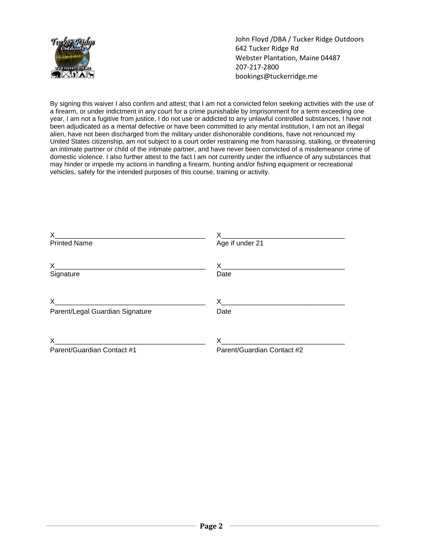

By signing this waiver I also confirm and attest; that I am not a convicted felon seeking activities with the use of a firearm, or under indictment in any court for a crime punishable by imprisonment for a term exceeding one year, I am not a fugitive from justice, I do not use or addicted to any unlawful controlled substances, I have not been adjudicated as a mental defective or have been committed to any mental institution, I am not an illegal alien, have not been discharged from the military under dishonorable conditions, have not renounced my United States citizenship, am not subject to a court order restraining me from harassing, stalking, or threatening an intimate partner or child of the intimate partner, and have never been convicted of a misdemeanor crime of domestic violence. I also further attest to the fact I am not currently under the influence of any substances that may hinder or impede my actions in handling a firearm, hunting and/or fishing equipment or recreational vehicles, safely for the intended purposes of this course, training or activity.

| X.                                                                                                                         |                                                          |
|----------------------------------------------------------------------------------------------------------------------------|----------------------------------------------------------|
| <b>Printed Name</b>                                                                                                        | Age if under 21                                          |
|                                                                                                                            |                                                          |
| X.                                                                                                                         |                                                          |
| Signature                                                                                                                  | Date                                                     |
|                                                                                                                            |                                                          |
| X.<br><u> 1980 - Jan James James Jan James James James James James James James James James James James James James Jam</u> | X.<br><u> 1980 - John Stein, Amerikaansk politiker (</u> |
| Parent/Legal Guardian Signature                                                                                            | Date                                                     |
|                                                                                                                            |                                                          |
| X                                                                                                                          | X.                                                       |
| Parent/Guardian Contact #1                                                                                                 | Parent/Guardian Contact #2                               |
|                                                                                                                            |                                                          |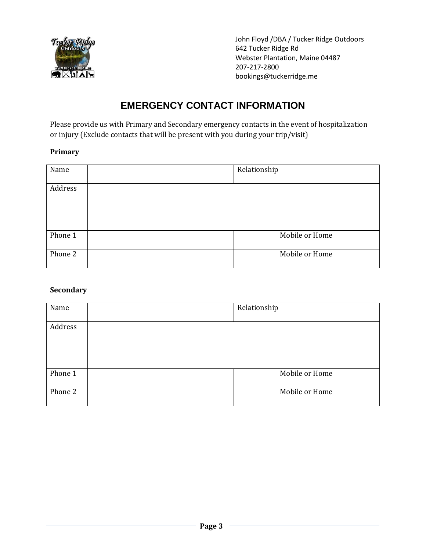

## **EMERGENCY CONTACT INFORMATION**

Please provide us with Primary and Secondary emergency contacts in the event of hospitalization or injury (Exclude contacts that will be present with you during your trip/visit)

#### **Primary**

| Name    | Relationship   |  |
|---------|----------------|--|
| Address |                |  |
| Phone 1 | Mobile or Home |  |
| Phone 2 | Mobile or Home |  |

#### **Secondary**

| Name    | Relationship   |  |
|---------|----------------|--|
| Address |                |  |
| Phone 1 | Mobile or Home |  |
| Phone 2 | Mobile or Home |  |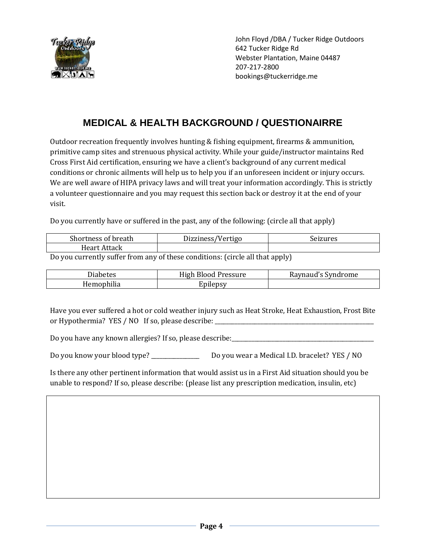

## **MEDICAL & HEALTH BACKGROUND / QUESTIONAIRRE**

Outdoor recreation frequently involves hunting & fishing equipment, firearms & ammunition, primitive camp sites and strenuous physical activity. While your guide/instructor maintains Red Cross First Aid certification, ensuring we have a client's background of any current medical conditions or chronic ailments will help us to help you if an unforeseen incident or injury occurs. We are well aware of HIPA privacy laws and will treat your information accordingly. This is strictly a volunteer questionnaire and you may request this section back or destroy it at the end of your visit.

Do you currently have or suffered in the past, any of the following: (circle all that apply)

| Shortness<br><sup>.</sup> breath<br>-O1 | Dizziness'<br>'Vertigo | Seizures |
|-----------------------------------------|------------------------|----------|
| Heart.<br>Attack                        |                        |          |

Do you currently suffer from any of these conditions: (circle all that apply)

| n.,<br>Diabetes | $\mathbf{L}$<br><b>TT: 1</b><br>High Blood Pressure | Raynaud's Syndrome |
|-----------------|-----------------------------------------------------|--------------------|
| Iemophilia      | Inilensv                                            |                    |

Have you ever suffered a hot or cold weather injury such as Heat Stroke, Heat Exhaustion, Frost Bite or Hypothermia? YES / NO If so, please describe: \_\_\_\_\_\_\_\_\_\_\_\_\_\_\_\_\_\_\_\_\_\_\_\_\_\_\_\_\_\_\_

Do you have any known allergies? If so, please describe: \_\_\_\_\_\_\_\_\_\_\_\_\_\_\_\_\_\_\_\_\_\_\_\_\_\_\_\_\_\_

Do you know your blood type? \_\_\_\_\_\_\_\_\_\_\_\_\_\_\_\_\_ Do you wear a Medical I.D. bracelet? YES / NO

Is there any other pertinent information that would assist us in a First Aid situation should you be unable to respond? If so, please describe: (please list any prescription medication, insulin, etc)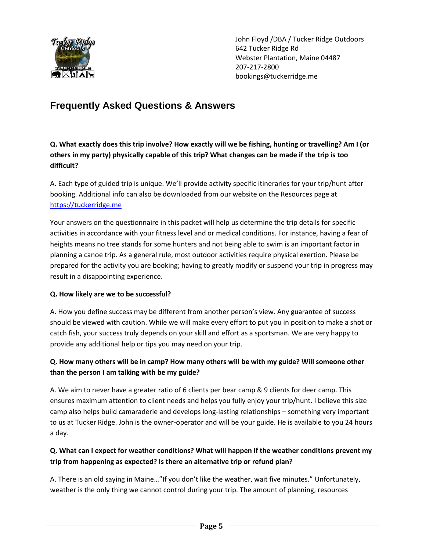

## **Frequently Asked Questions & Answers**

**Q. What exactly does this trip involve? How exactly will we be fishing, hunting or travelling? Am I (or others in my party) physically capable of this trip? What changes can be made if the trip is too difficult?**

A. Each type of guided trip is unique. We'll provide activity specific itineraries for your trip/hunt after booking. Additional info can also be downloaded from our website on the Resources page at https://tuckerridge.me

Your answers on the questionnaire in this packet will help us determine the trip details for specific activities in accordance with your fitness level and or medical conditions. For instance, having a fear of heights means no tree stands for some hunters and not being able to swim is an important factor in planning a canoe trip. As a general rule, most outdoor activities require physical exertion. Please be prepared for the activity you are booking; having to greatly modify or suspend your trip in progress may result in a disappointing experience.

#### **Q. How likely are we to be successful?**

A. How you define success may be different from another person's view. Any guarantee of success should be viewed with caution. While we will make every effort to put you in position to make a shot or catch fish, your success truly depends on your skill and effort as a sportsman. We are very happy to provide any additional help or tips you may need on your trip.

#### **Q. How many others will be in camp? How many others will be with my guide? Will someone other than the person I am talking with be my guide?**

A. We aim to never have a greater ratio of 6 clients per bear camp & 9 clients for deer camp. This ensures maximum attention to client needs and helps you fully enjoy your trip/hunt. I believe this size camp also helps build camaraderie and develops long-lasting relationships – something very important to us at Tucker Ridge. John is the owner-operator and will be your guide. He is available to you 24 hours a day.

#### **Q. What can I expect for weather conditions? What will happen if the weather conditions prevent my trip from happening as expected? Is there an alternative trip or refund plan?**

A. There is an old saying in Maine…"If you don't like the weather, wait five minutes." Unfortunately, weather is the only thing we cannot control during your trip. The amount of planning, resources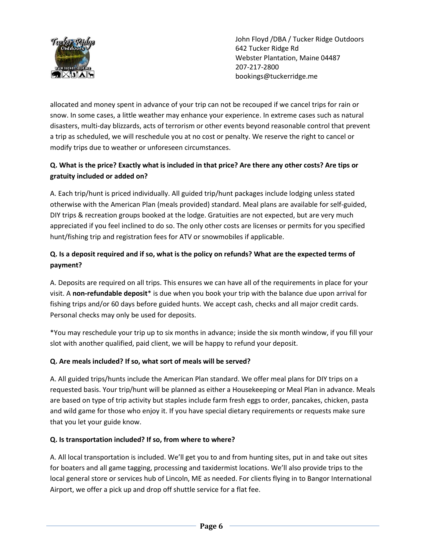

allocated and money spent in advance of your trip can not be recouped if we cancel trips for rain or snow. In some cases, a little weather may enhance your experience. In extreme cases such as natural disasters, multi-day blizzards, acts of terrorism or other events beyond reasonable control that prevent a trip as scheduled, we will reschedule you at no cost or penalty. We reserve the right to cancel or modify trips due to weather or unforeseen circumstances.

#### **Q. What is the price? Exactly what is included in that price? Are there any other costs? Are tips or gratuity included or added on?**

A. Each trip/hunt is priced individually. All guided trip/hunt packages include lodging unless stated otherwise with the American Plan (meals provided) standard. Meal plans are available for self-guided, DIY trips & recreation groups booked at the lodge. Gratuities are not expected, but are very much appreciated if you feel inclined to do so. The only other costs are licenses or permits for you specified hunt/fishing trip and registration fees for ATV or snowmobiles if applicable.

#### **Q. Is a deposit required and if so, what is the policy on refunds? What are the expected terms of payment?**

A. Deposits are required on all trips. This ensures we can have all of the requirements in place for your visit. A **non-refundable deposit**\* is due when you book your trip with the balance due upon arrival for fishing trips and/or 60 days before guided hunts. We accept cash, checks and all major credit cards. Personal checks may only be used for deposits.

\*You may reschedule your trip up to six months in advance; inside the six month window, if you fill your slot with another qualified, paid client, we will be happy to refund your deposit.

#### **Q. Are meals included? If so, what sort of meals will be served?**

A. All guided trips/hunts include the American Plan standard. We offer meal plans for DIY trips on a requested basis. Your trip/hunt will be planned as either a Housekeeping or Meal Plan in advance. Meals are based on type of trip activity but staples include farm fresh eggs to order, pancakes, chicken, pasta and wild game for those who enjoy it. If you have special dietary requirements or requests make sure that you let your guide know.

#### **Q. Is transportation included? If so, from where to where?**

A. All local transportation is included. We'll get you to and from hunting sites, put in and take out sites for boaters and all game tagging, processing and taxidermist locations. We'll also provide trips to the local general store or services hub of Lincoln, ME as needed. For clients flying in to Bangor International Airport, we offer a pick up and drop off shuttle service for a flat fee.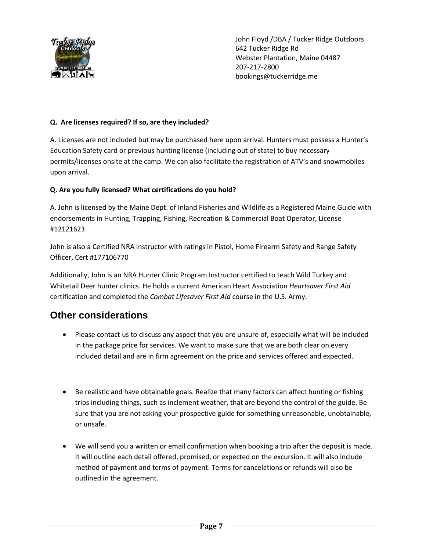

#### **Q. Are licenses required? If so, are they included?**

A. Licenses are not included but may be purchased here upon arrival. Hunters must possess a Hunter's Education Safety card or previous hunting license (including out of state) to buy necessary permits/licenses onsite at the camp. We can also facilitate the registration of ATV's and snowmobiles upon arrival.

#### **Q. Are you fully licensed? What certifications do you hold?**

A. John is licensed by the Maine Dept. of Inland Fisheries and Wildlife as a Registered Maine Guide with endorsements in Hunting, Trapping, Fishing, Recreation & Commercial Boat Operator, License #12121623

John is also a Certified NRA Instructor with ratings in Pistol, Home Firearm Safety and Range Safety Officer, Cert #177106770

Additionally, John is an NRA Hunter Clinic Program Instructor certified to teach Wild Turkey and Whitetail Deer hunter clinics. He holds a current American Heart Association *Heartsaver First Aid* certification and completed the *Combat Lifesaver First Aid* course in the U.S. Army.

## **Other considerations**

- Please contact us to discuss any aspect that you are unsure of, especially what will be included in the package price for services. We want to make sure that we are both clear on every included detail and are in firm agreement on the price and services offered and expected.
- Be realistic and have obtainable goals. Realize that many factors can affect hunting or fishing trips including things, such as inclement weather, that are beyond the control of the guide. Be sure that you are not asking your prospective guide for something unreasonable, unobtainable, or unsafe.
- We will send you a written or email confirmation when booking a trip after the deposit is made. It will outline each detail offered, promised, or expected on the excursion. It will also include method of payment and terms of payment. Terms for cancelations or refunds will also be outlined in the agreement.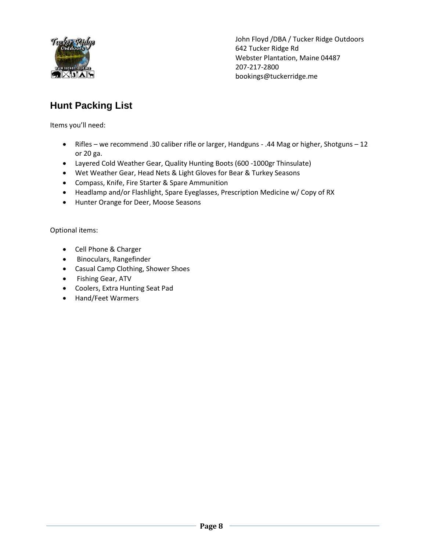

## **Hunt Packing List**

Items you'll need:

- Rifles we recommend .30 caliber rifle or larger, Handguns .44 Mag or higher, Shotguns 12 or 20 ga.
- Layered Cold Weather Gear, Quality Hunting Boots (600 -1000gr Thinsulate)
- Wet Weather Gear, Head Nets & Light Gloves for Bear & Turkey Seasons
- Compass, Knife, Fire Starter & Spare Ammunition
- Headlamp and/or Flashlight, Spare Eyeglasses, Prescription Medicine w/ Copy of RX
- Hunter Orange for Deer, Moose Seasons

Optional items:

- Cell Phone & Charger
- **•** Binoculars, Rangefinder
- Casual Camp Clothing, Shower Shoes
- Fishing Gear, ATV
- Coolers, Extra Hunting Seat Pad
- Hand/Feet Warmers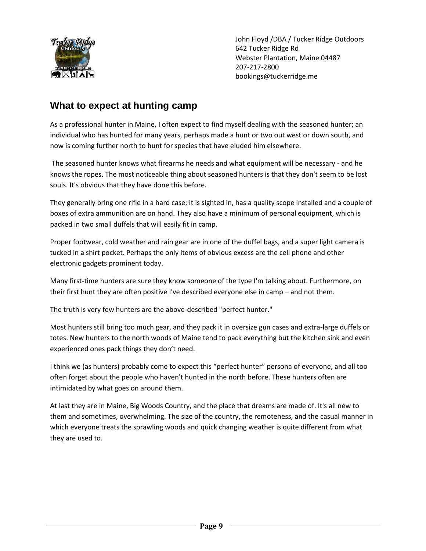

## **What to expect at hunting camp**

As a professional hunter in Maine, I often expect to find myself dealing with the seasoned hunter; an individual who has hunted for many years, perhaps made a hunt or two out west or down south, and now is coming further north to hunt for species that have eluded him elsewhere.

The seasoned hunter knows what firearms he needs and what equipment will be necessary - and he knows the ropes. The most noticeable thing about seasoned hunters is that they don't seem to be lost souls. It's obvious that they have done this before.

They generally bring one rifle in a hard case; it is sighted in, has a quality scope installed and a couple of boxes of extra ammunition are on hand. They also have a minimum of personal equipment, which is packed in two small duffels that will easily fit in camp.

Proper footwear, cold weather and rain gear are in one of the duffel bags, and a super light camera is tucked in a shirt pocket. Perhaps the only items of obvious excess are the cell phone and other electronic gadgets prominent today.

Many first-time hunters are sure they know someone of the type I'm talking about. Furthermore, on their first hunt they are often positive I've described everyone else in camp – and not them.

The truth is very few hunters are the above-described "perfect hunter."

Most hunters still bring too much gear, and they pack it in oversize gun cases and extra-large duffels or totes. New hunters to the north woods of Maine tend to pack everything but the kitchen sink and even experienced ones pack things they don't need.

I think we (as hunters) probably come to expect this "perfect hunter" persona of everyone, and all too often forget about the people who haven't hunted in the north before. These hunters often are intimidated by what goes on around them.

At last they are in Maine, Big Woods Country, and the place that dreams are made of. It's all new to them and sometimes, overwhelming. The size of the country, the remoteness, and the casual manner in which everyone treats the sprawling woods and quick changing weather is quite different from what they are used to.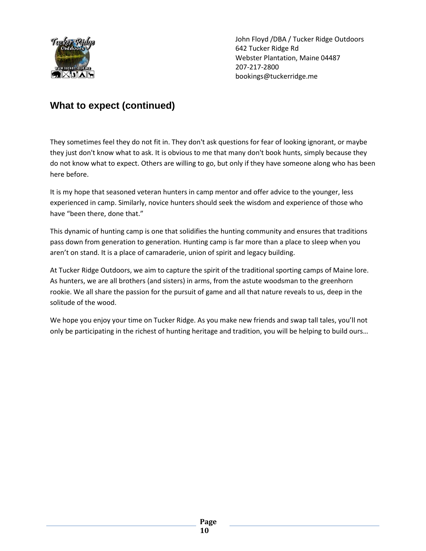

## **What to expect (continued)**

They sometimes feel they do not fit in. They don't ask questions for fear of looking ignorant, or maybe they just don't know what to ask. It is obvious to me that many don't book hunts, simply because they do not know what to expect. Others are willing to go, but only if they have someone along who has been here before.

It is my hope that seasoned veteran hunters in camp mentor and offer advice to the younger, less experienced in camp. Similarly, novice hunters should seek the wisdom and experience of those who have "been there, done that."

This dynamic of hunting camp is one that solidifies the hunting community and ensures that traditions pass down from generation to generation. Hunting camp is far more than a place to sleep when you aren't on stand. It is a place of camaraderie, union of spirit and legacy building.

At Tucker Ridge Outdoors, we aim to capture the spirit of the traditional sporting camps of Maine lore. As hunters, we are all brothers (and sisters) in arms, from the astute woodsman to the greenhorn rookie. We all share the passion for the pursuit of game and all that nature reveals to us, deep in the solitude of the wood.

We hope you enjoy your time on Tucker Ridge. As you make new friends and swap tall tales, you'll not only be participating in the richest of hunting heritage and tradition, you will be helping to build ours…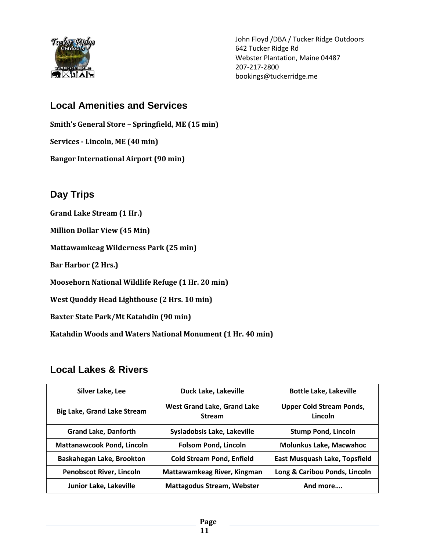

## **Local Amenities and Services**

**Smith's General Store – Springfield, ME (15 min) Services - Lincoln, ME (40 min)**

**Bangor International Airport (90 min)**

## **Day Trips**

- **Grand Lake Stream (1 Hr.)**
- **Million Dollar View (45 Min)**

**Mattawamkeag Wilderness Park (25 min)**

**Bar Harbor (2 Hrs.)**

**Moosehorn National Wildlife Refuge (1 Hr. 20 min)**

**West Quoddy Head Lighthouse (2 Hrs. 10 min)**

**Baxter State Park/Mt Katahdin (90 min)**

**Katahdin Woods and Waters National Monument (1 Hr. 40 min)**

## **Local Lakes & Rivers**

| Silver Lake, Lee                   | Duck Lake, Lakeville                         | <b>Bottle Lake, Lakeville</b>              |
|------------------------------------|----------------------------------------------|--------------------------------------------|
| <b>Big Lake, Grand Lake Stream</b> | West Grand Lake, Grand Lake<br><b>Stream</b> | <b>Upper Cold Stream Ponds,</b><br>Lincoln |
| <b>Grand Lake, Danforth</b>        | Sysladobsis Lake, Lakeville                  | <b>Stump Pond, Lincoln</b>                 |
| <b>Mattanawcook Pond, Lincoln</b>  | <b>Folsom Pond, Lincoln</b>                  | <b>Molunkus Lake, Macwahoc</b>             |
| Baskahegan Lake, Brookton          | <b>Cold Stream Pond, Enfield</b>             | East Musquash Lake, Topsfield              |
| <b>Penobscot River, Lincoln</b>    | Mattawamkeag River, Kingman                  | Long & Caribou Ponds, Lincoln              |
| Junior Lake, Lakeville             | <b>Mattagodus Stream, Webster</b>            | And more                                   |